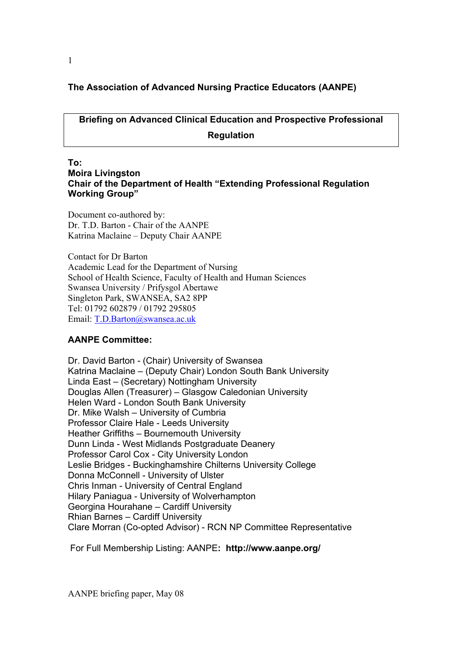# **The Association of Advanced Nursing Practice Educators (AANPE)**

**Briefing on Advanced Clinical Education and Prospective Professional Regulation** 

### **To: Moira Livingston Chair of the Department of Health "Extending Professional Regulation Working Group"**

Document co-authored by: Dr. T.D. Barton - Chair of the AANPE Katrina Maclaine – Deputy Chair AANPE

Contact for Dr Barton Academic Lead for the Department of Nursing School of Health Science, Faculty of Health and Human Sciences Swansea University / Prifysgol Abertawe Singleton Park, SWANSEA, SA2 8PP Tel: 01792 602879 / 01792 295805 Email: T.D.Barton@swansea.ac.uk

### **AANPE Committee:**

Dr. David Barton - (Chair) University of Swansea Katrina Maclaine – (Deputy Chair) London South Bank University Linda East – (Secretary) Nottingham University Douglas Allen (Treasurer) – Glasgow Caledonian University Helen Ward - London South Bank University Dr. Mike Walsh – University of Cumbria Professor Claire Hale - Leeds University Heather Griffiths – Bournemouth University Dunn Linda - West Midlands Postgraduate Deanery Professor Carol Cox - City University London Leslie Bridges - Buckinghamshire Chilterns University College Donna McConnell - University of Ulster Chris Inman - University of Central England Hilary Paniagua - University of Wolverhampton Georgina Hourahane – Cardiff University Rhian Barnes – Cardiff University Clare Morran (Co-opted Advisor) - RCN NP Committee Representative

For Full Membership Listing: AANPE**: http://www.aanpe.org/**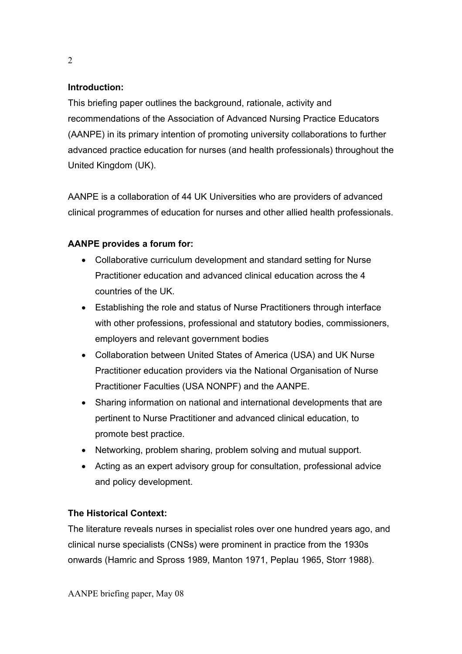## **Introduction:**

This briefing paper outlines the background, rationale, activity and recommendations of the Association of Advanced Nursing Practice Educators (AANPE) in its primary intention of promoting university collaborations to further advanced practice education for nurses (and health professionals) throughout the United Kingdom (UK).

AANPE is a collaboration of 44 UK Universities who are providers of advanced clinical programmes of education for nurses and other allied health professionals.

# **AANPE provides a forum for:**

- Collaborative curriculum development and standard setting for Nurse Practitioner education and advanced clinical education across the 4 countries of the UK.
- Establishing the role and status of Nurse Practitioners through interface with other professions, professional and statutory bodies, commissioners, employers and relevant government bodies
- Collaboration between United States of America (USA) and UK Nurse Practitioner education providers via the National Organisation of Nurse Practitioner Faculties (USA NONPF) and the AANPE.
- Sharing information on national and international developments that are pertinent to Nurse Practitioner and advanced clinical education, to promote best practice.
- Networking, problem sharing, problem solving and mutual support.
- Acting as an expert advisory group for consultation, professional advice and policy development.

# **The Historical Context:**

The literature reveals nurses in specialist roles over one hundred years ago, and clinical nurse specialists (CNSs) were prominent in practice from the 1930s onwards (Hamric and Spross 1989, Manton 1971, Peplau 1965, Storr 1988).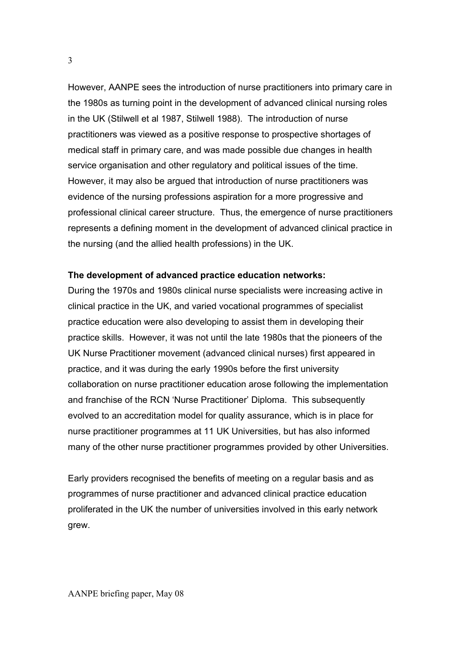However, AANPE sees the introduction of nurse practitioners into primary care in the 1980s as turning point in the development of advanced clinical nursing roles in the UK (Stilwell et al 1987, Stilwell 1988). The introduction of nurse practitioners was viewed as a positive response to prospective shortages of medical staff in primary care, and was made possible due changes in health service organisation and other regulatory and political issues of the time. However, it may also be argued that introduction of nurse practitioners was evidence of the nursing professions aspiration for a more progressive and professional clinical career structure. Thus, the emergence of nurse practitioners represents a defining moment in the development of advanced clinical practice in the nursing (and the allied health professions) in the UK.

## **The development of advanced practice education networks:**

During the 1970s and 1980s clinical nurse specialists were increasing active in clinical practice in the UK, and varied vocational programmes of specialist practice education were also developing to assist them in developing their practice skills. However, it was not until the late 1980s that the pioneers of the UK Nurse Practitioner movement (advanced clinical nurses) first appeared in practice, and it was during the early 1990s before the first university collaboration on nurse practitioner education arose following the implementation and franchise of the RCN 'Nurse Practitioner' Diploma. This subsequently evolved to an accreditation model for quality assurance, which is in place for nurse practitioner programmes at 11 UK Universities, but has also informed many of the other nurse practitioner programmes provided by other Universities.

Early providers recognised the benefits of meeting on a regular basis and as programmes of nurse practitioner and advanced clinical practice education proliferated in the UK the number of universities involved in this early network grew.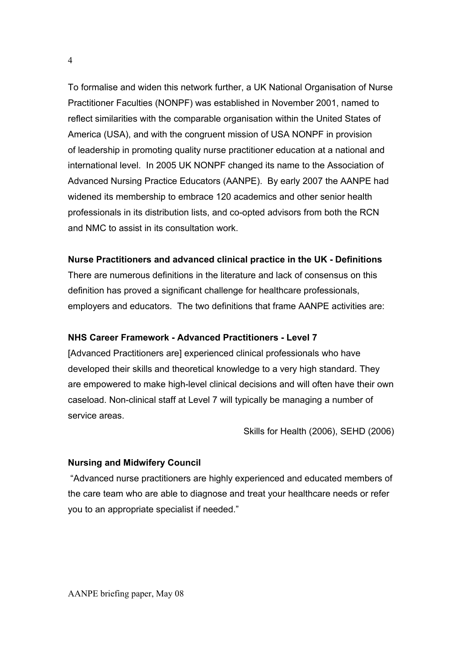To formalise and widen this network further, a UK National Organisation of Nurse Practitioner Faculties (NONPF) was established in November 2001, named to reflect similarities with the comparable organisation within the United States of America (USA), and with the congruent mission of USA NONPF in provision of leadership in promoting quality nurse practitioner education at a national and international level. In 2005 UK NONPF changed its name to the Association of Advanced Nursing Practice Educators (AANPE). By early 2007 the AANPE had widened its membership to embrace 120 academics and other senior health professionals in its distribution lists, and co-opted advisors from both the RCN and NMC to assist in its consultation work.

## **Nurse Practitioners and advanced clinical practice in the UK - Definitions**

There are numerous definitions in the literature and lack of consensus on this definition has proved a significant challenge for healthcare professionals, employers and educators. The two definitions that frame AANPE activities are:

## **NHS Career Framework - Advanced Practitioners - Level 7**

[Advanced Practitioners are] experienced clinical professionals who have developed their skills and theoretical knowledge to a very high standard. They are empowered to make high-level clinical decisions and will often have their own caseload. Non-clinical staff at Level 7 will typically be managing a number of service areas.

Skills for Health (2006), SEHD (2006)

### **Nursing and Midwifery Council**

 "Advanced nurse practitioners are highly experienced and educated members of the care team who are able to diagnose and treat your healthcare needs or refer you to an appropriate specialist if needed."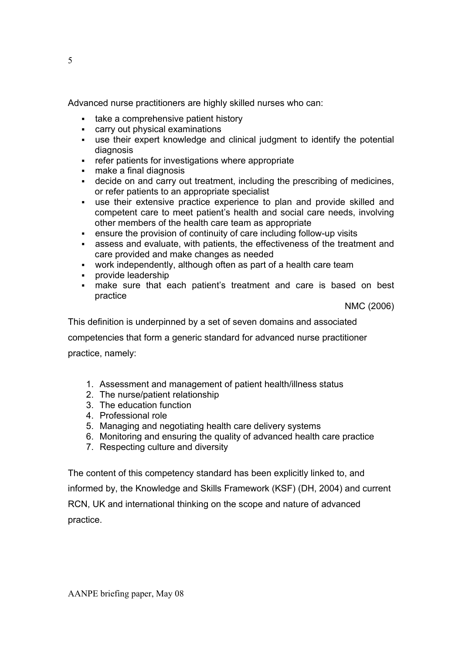Advanced nurse practitioners are highly skilled nurses who can:

- take a comprehensive patient history
- carry out physical examinations
- use their expert knowledge and clinical judgment to identify the potential diagnosis
- refer patients for investigations where appropriate
- make a final diagnosis
- decide on and carry out treatment, including the prescribing of medicines, or refer patients to an appropriate specialist
- use their extensive practice experience to plan and provide skilled and competent care to meet patient's health and social care needs, involving other members of the health care team as appropriate
- ensure the provision of continuity of care including follow-up visits
- assess and evaluate, with patients, the effectiveness of the treatment and care provided and make changes as needed
- work independently, although often as part of a health care team
- provide leadership
- make sure that each patient's treatment and care is based on best practice

NMC (2006)

This definition is underpinned by a set of seven domains and associated

competencies that form a generic standard for advanced nurse practitioner

practice, namely:

- 1. Assessment and management of patient health/illness status
- 2. The nurse/patient relationship
- 3. The education function
- 4. Professional role
- 5. Managing and negotiating health care delivery systems
- 6. Monitoring and ensuring the quality of advanced health care practice
- 7. Respecting culture and diversity

The content of this competency standard has been explicitly linked to, and informed by, the Knowledge and Skills Framework (KSF) (DH, 2004) and current RCN, UK and international thinking on the scope and nature of advanced practice.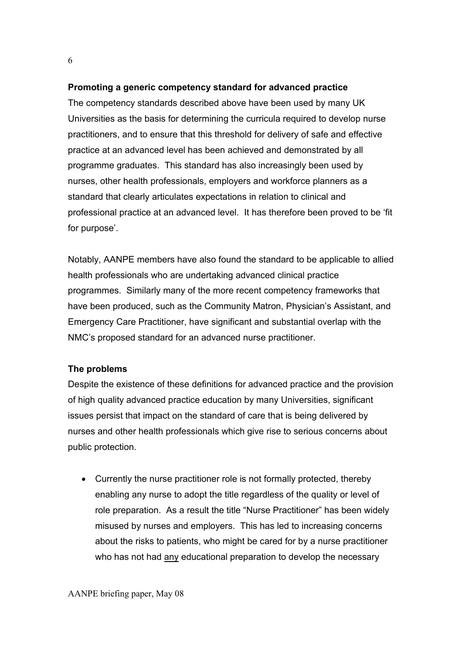## **Promoting a generic competency standard for advanced practice**

The competency standards described above have been used by many UK Universities as the basis for determining the curricula required to develop nurse practitioners, and to ensure that this threshold for delivery of safe and effective practice at an advanced level has been achieved and demonstrated by all programme graduates. This standard has also increasingly been used by nurses, other health professionals, employers and workforce planners as a standard that clearly articulates expectations in relation to clinical and professional practice at an advanced level. It has therefore been proved to be 'fit for purpose'.

Notably, AANPE members have also found the standard to be applicable to allied health professionals who are undertaking advanced clinical practice programmes. Similarly many of the more recent competency frameworks that have been produced, such as the Community Matron, Physician's Assistant, and Emergency Care Practitioner, have significant and substantial overlap with the NMC's proposed standard for an advanced nurse practitioner.

## **The problems**

Despite the existence of these definitions for advanced practice and the provision of high quality advanced practice education by many Universities, significant issues persist that impact on the standard of care that is being delivered by nurses and other health professionals which give rise to serious concerns about public protection.

• Currently the nurse practitioner role is not formally protected, thereby enabling any nurse to adopt the title regardless of the quality or level of role preparation. As a result the title "Nurse Practitioner" has been widely misused by nurses and employers. This has led to increasing concerns about the risks to patients, who might be cared for by a nurse practitioner who has not had any educational preparation to develop the necessary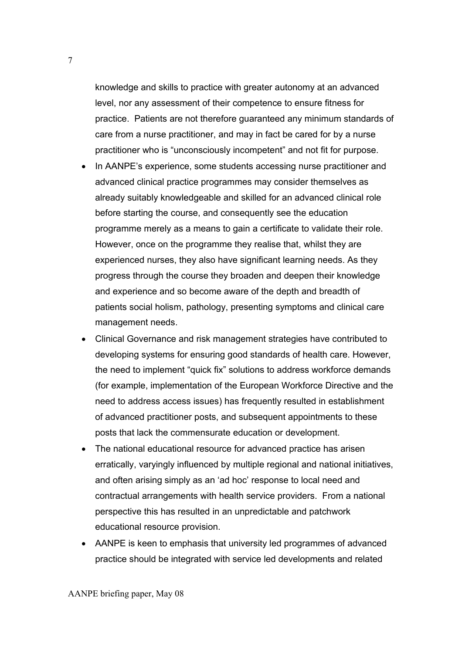knowledge and skills to practice with greater autonomy at an advanced level, nor any assessment of their competence to ensure fitness for practice. Patients are not therefore guaranteed any minimum standards of care from a nurse practitioner, and may in fact be cared for by a nurse practitioner who is "unconsciously incompetent" and not fit for purpose.

- In AANPE's experience, some students accessing nurse practitioner and advanced clinical practice programmes may consider themselves as already suitably knowledgeable and skilled for an advanced clinical role before starting the course, and consequently see the education programme merely as a means to gain a certificate to validate their role. However, once on the programme they realise that, whilst they are experienced nurses, they also have significant learning needs. As they progress through the course they broaden and deepen their knowledge and experience and so become aware of the depth and breadth of patients social holism, pathology, presenting symptoms and clinical care management needs.
- Clinical Governance and risk management strategies have contributed to developing systems for ensuring good standards of health care. However, the need to implement "quick fix" solutions to address workforce demands (for example, implementation of the European Workforce Directive and the need to address access issues) has frequently resulted in establishment of advanced practitioner posts, and subsequent appointments to these posts that lack the commensurate education or development.
- The national educational resource for advanced practice has arisen erratically, varyingly influenced by multiple regional and national initiatives, and often arising simply as an 'ad hoc' response to local need and contractual arrangements with health service providers. From a national perspective this has resulted in an unpredictable and patchwork educational resource provision.
- AANPE is keen to emphasis that university led programmes of advanced practice should be integrated with service led developments and related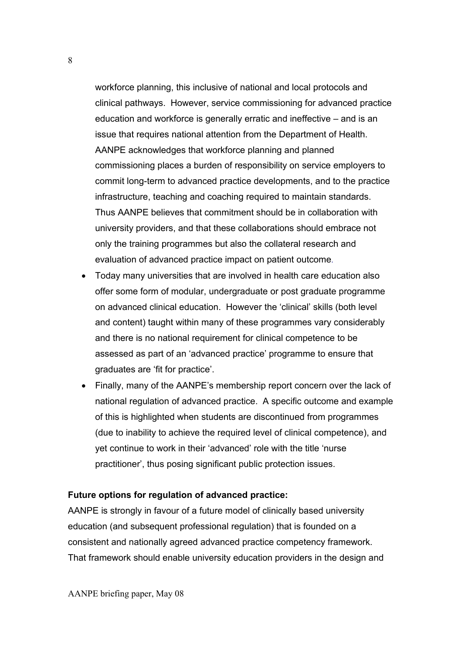workforce planning, this inclusive of national and local protocols and clinical pathways. However, service commissioning for advanced practice education and workforce is generally erratic and ineffective – and is an issue that requires national attention from the Department of Health. AANPE acknowledges that workforce planning and planned commissioning places a burden of responsibility on service employers to commit long-term to advanced practice developments, and to the practice infrastructure, teaching and coaching required to maintain standards. Thus AANPE believes that commitment should be in collaboration with university providers, and that these collaborations should embrace not only the training programmes but also the collateral research and evaluation of advanced practice impact on patient outcome.

- Today many universities that are involved in health care education also offer some form of modular, undergraduate or post graduate programme on advanced clinical education. However the 'clinical' skills (both level and content) taught within many of these programmes vary considerably and there is no national requirement for clinical competence to be assessed as part of an 'advanced practice' programme to ensure that graduates are 'fit for practice'.
- Finally, many of the AANPE's membership report concern over the lack of national regulation of advanced practice. A specific outcome and example of this is highlighted when students are discontinued from programmes (due to inability to achieve the required level of clinical competence), and yet continue to work in their 'advanced' role with the title 'nurse practitioner', thus posing significant public protection issues.

### **Future options for regulation of advanced practice:**

AANPE is strongly in favour of a future model of clinically based university education (and subsequent professional regulation) that is founded on a consistent and nationally agreed advanced practice competency framework. That framework should enable university education providers in the design and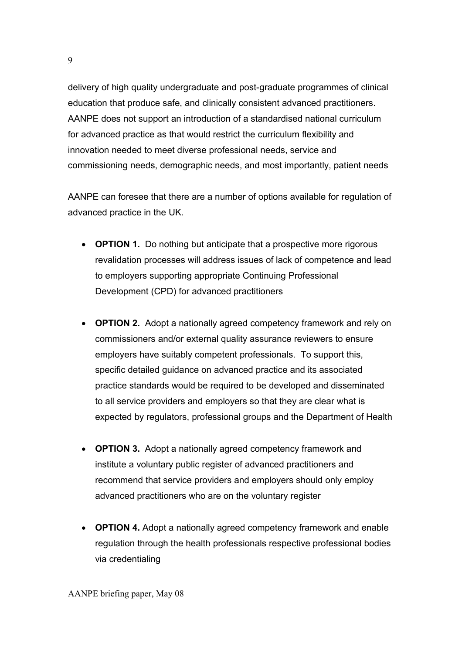delivery of high quality undergraduate and post-graduate programmes of clinical education that produce safe, and clinically consistent advanced practitioners. AANPE does not support an introduction of a standardised national curriculum for advanced practice as that would restrict the curriculum flexibility and innovation needed to meet diverse professional needs, service and commissioning needs, demographic needs, and most importantly, patient needs

AANPE can foresee that there are a number of options available for regulation of advanced practice in the UK.

- **OPTION 1.** Do nothing but anticipate that a prospective more rigorous revalidation processes will address issues of lack of competence and lead to employers supporting appropriate Continuing Professional Development (CPD) for advanced practitioners
- **OPTION 2.** Adopt a nationally agreed competency framework and rely on commissioners and/or external quality assurance reviewers to ensure employers have suitably competent professionals.To support this, specific detailed guidance on advanced practice and its associated practice standards would be required to be developed and disseminated to all service providers and employers so that they are clear what is expected by regulators, professional groups and the Department of Health
- **OPTION 3.** Adopt a nationally agreed competency framework and institute a voluntary public register of advanced practitioners and recommend that service providers and employers should only employ advanced practitioners who are on the voluntary register
- **OPTION 4.** Adopt a nationally agreed competency framework and enable regulation through the health professionals respective professional bodies via credentialing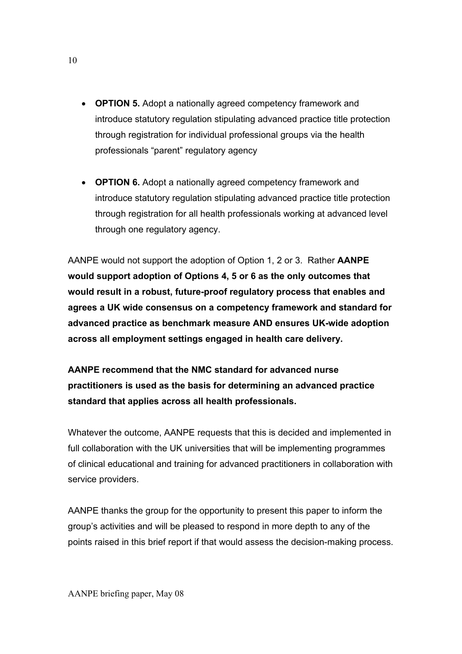- **OPTION 5.** Adopt a nationally agreed competency framework and introduce statutory regulation stipulating advanced practice title protection through registration for individual professional groups via the health professionals "parent" regulatory agency
- **OPTION 6.** Adopt a nationally agreed competency framework and introduce statutory regulation stipulating advanced practice title protection through registration for all health professionals working at advanced level through one regulatory agency.

AANPE would not support the adoption of Option 1, 2 or 3. Rather **AANPE would support adoption of Options 4, 5 or 6 as the only outcomes that would result in a robust, future-proof regulatory process that enables and agrees a UK wide consensus on a competency framework and standard for advanced practice as benchmark measure AND ensures UK-wide adoption across all employment settings engaged in health care delivery.** 

**AANPE recommend that the NMC standard for advanced nurse practitioners is used as the basis for determining an advanced practice standard that applies across all health professionals.** 

Whatever the outcome, AANPE requests that this is decided and implemented in full collaboration with the UK universities that will be implementing programmes of clinical educational and training for advanced practitioners in collaboration with service providers.

AANPE thanks the group for the opportunity to present this paper to inform the group's activities and will be pleased to respond in more depth to any of the points raised in this brief report if that would assess the decision-making process.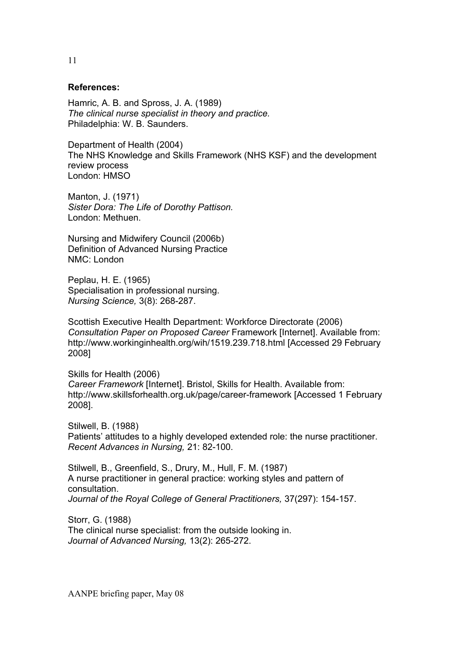### **References:**

Hamric, A. B. and Spross, J. A. (1989) *The clinical nurse specialist in theory and practice.*  Philadelphia: W. B. Saunders.

Department of Health (2004) The NHS Knowledge and Skills Framework (NHS KSF) and the development review process London: HMSO

Manton, J. (1971) *Sister Dora: The Life of Dorothy Pattison.*  London: Methuen.

Nursing and Midwifery Council (2006b) Definition of Advanced Nursing Practice NMC: London

Peplau, H. E. (1965) Specialisation in professional nursing. *Nursing Science,* 3(8): 268-287.

Scottish Executive Health Department: Workforce Directorate (2006) *Consultation Paper on Proposed Career* Framework [Internet]. Available from: http://www.workinginhealth.org/wih/1519.239.718.html [Accessed 29 February 2008]

Skills for Health (2006) *Career Framework* [Internet]. Bristol, Skills for Health. Available from: http://www.skillsforhealth.org.uk/page/career-framework [Accessed 1 February 2008].

Stilwell, B. (1988) Patients' attitudes to a highly developed extended role: the nurse practitioner. *Recent Advances in Nursing,* 21: 82-100.

Stilwell, B., Greenfield, S., Drury, M., Hull, F. M. (1987) A nurse practitioner in general practice: working styles and pattern of consultation. *Journal of the Royal College of General Practitioners,* 37(297): 154-157.

Storr, G. (1988) The clinical nurse specialist: from the outside looking in. *Journal of Advanced Nursing,* 13(2): 265-272.